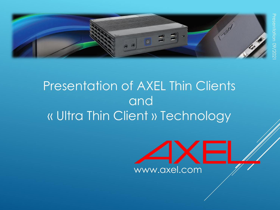

### Presentation of AXEL Thin Clients and « Ultra Thin Client » Technology

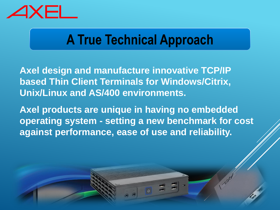

### **A True Technical Approach**

**Axel design and manufacture innovative TCP/IP based Thin Client Terminals for Windows/Citrix, Unix/Linux and AS/400 environments.**

**Axel products are unique in having no embedded operating system - setting a new benchmark for cost against performance, ease of use and reliability.**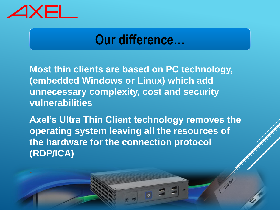

#### **Our difference…**

**Most thin clients are based on PC technology, (embedded Windows or Linux) which add unnecessary complexity, cost and security vulnerabilities**

**Axel's Ultra Thin Client technology removes the operating system leaving all the resources of the hardware for the connection protocol (RDP/ICA)**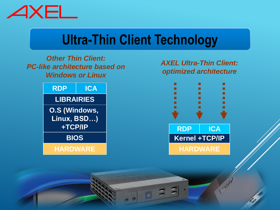

## **Ultra-Thin Client Technology**

#### *Other Thin Client: PC-like architecture based on Windows or Linux*



#### *AXEL Ultra-Thin Client: optimized architecture*

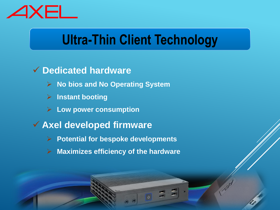

# **Ultra-Thin Client Technology**

#### ✓ **Dedicated hardware**

- ➢ **No bios and No Operating System**
- ➢ **Instant booting**
- ➢ **Low power consumption**
- ✓ **Axel developed firmware**
	- ➢ **Potential for bespoke developments**
	- ➢ **Maximizes efficiency of the hardware**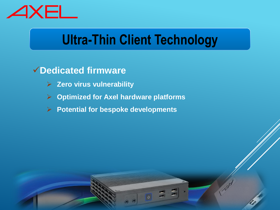

## **Ultra-Thin Client Technology**

#### ✓**Dedicated firmware**

- ➢ **Zero virus vulnerability**
- ➢ **Optimized for Axel hardware platforms**
- ➢ **Potential for bespoke developments**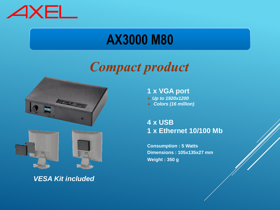

### **AX3000 M80**

### *Compact product*





*VESA Kit included*

**1 x VGA port** ➢ *Up to 1920x1200* ➢ *Colors (16 million)*

**4 x USB 1 x Ethernet 10/100 Mb**

**Consumption : 5 Watts Dimensions : 105x135x27 mm Weight : 350 g**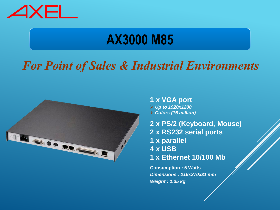

## **AX3000 M85**

#### *For Point of Sales & Industrial Environments*



- **1 x VGA port** ➢ *Up to 1920x1200* ➢ *Colors (16 million)*
- **2 x PS/2 (Keyboard, Mouse) 2 x RS232 serial ports 1 x parallel 4 x USB 1 x Ethernet 10/100 Mb**

**Consumption : 5 Watts** *Dimensions : 216x270x31 mm Weight : 1.35 kg*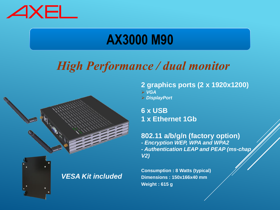

## **AX3000 M90**

#### *High Performance / dual monitor*



*VESA Kit included*

**2 graphics ports (2 x 1920x1200)** ➢ *VGA* ➢ *DisplayPort*

**6 x USB 1 x Ethernet 1Gb**

**802.11 a/b/g/n (factory option)** *- Encryption WEP, WPA and WPA2 - Authentication LEAP and PEAP (ms-chap V2)*

**Consumption : 8 Watts (typical) Dimensions : 150x166x40 mm Weight : 615 g**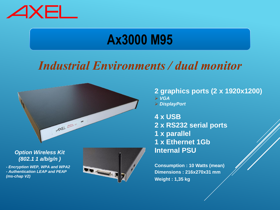

### **Ax3000 M95**

#### *Industrial Environments / dual monitor*



*Option Wireless Kit (802.1 1 a/b/g/n )*

*- Encryption WEP, WPA and WPA2 - Authentication LEAP and PEAP (ms-chap V2)*



- **2 graphics ports (2 x 1920x1200)** ➢ *VGA*
- ➢ *DisplayPort*

**4 x USB 2 x RS232 serial ports 1 x parallel 1 x Ethernet 1Gb Internal PSU**

**Consumption : 10 Watts (mean) Dimensions : 216x270x31 mm Weight : 1,35 kg**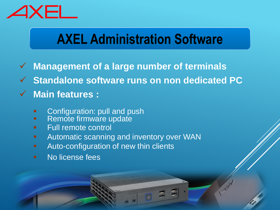

# **AXEL Administration Software**

- ✓ **Management of a large number of terminals**
- ✓ **Standalone software runs on non dedicated PC**

#### ✓ **Main features :**

- Configuration: pull and push
- Remote firmware update
- **E**ull remote control
- **E** Automatic scanning and inventory over WAN
- **E** Auto-configuration of new thin clients
- No license fees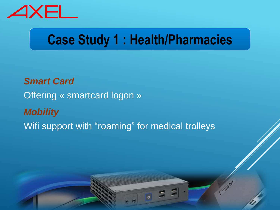

# **Case Study 1 : Health/Pharmacies**

*Smart Card* Offering « smartcard logon » *Mobility*  Wifi support with "roaming" for medical trolleys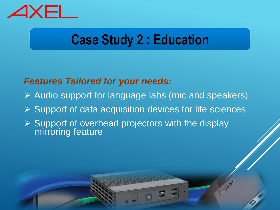

# **Case Study 2 : Education**

#### *Features Tailored for your needs:*

- ➢ Audio support for language labs (mic and speakers)
- ➢ Support of data acquisition devices for life sciences
- ➢ Support of overhead projectors with the display mirroring feature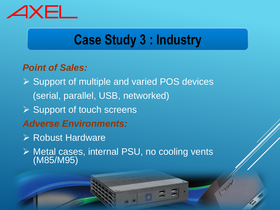

# **Case Study 3 : Industry**

#### *Point of Sales:*

- ➢ Support of multiple and varied POS devices (serial, parallel, USB, networked)
- ➢ Support of touch screens
- *Adverse Environments:*
- ➢ Robust Hardware
- ➢ Metal cases, internal PSU, no cooling vents (M85/M95)